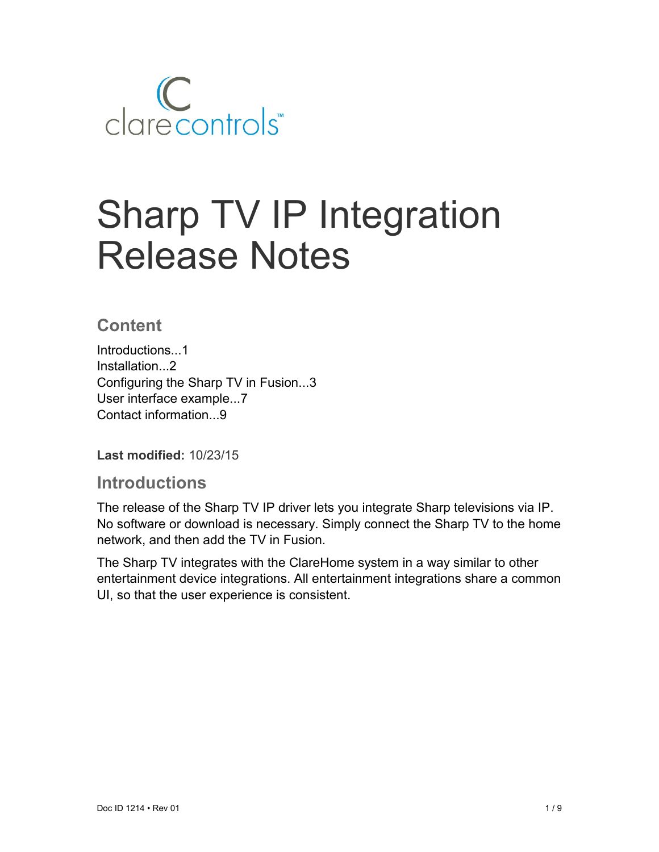

# Sharp TV IP Integration Release Notes

## **Content**

Introductions...1 Installation...2 Configuring the Sharp TV in Fusion...3 User interface example...7 Contact information...9

**Last modified:** 10/23/15

#### **Introductions**

The release of the Sharp TV IP driver lets you integrate Sharp televisions via IP. No software or download is necessary. Simply connect the Sharp TV to the home network, and then add the TV in Fusion.

The Sharp TV integrates with the ClareHome system in a way similar to other entertainment device integrations. All entertainment integrations share a common UI, so that the user experience is consistent.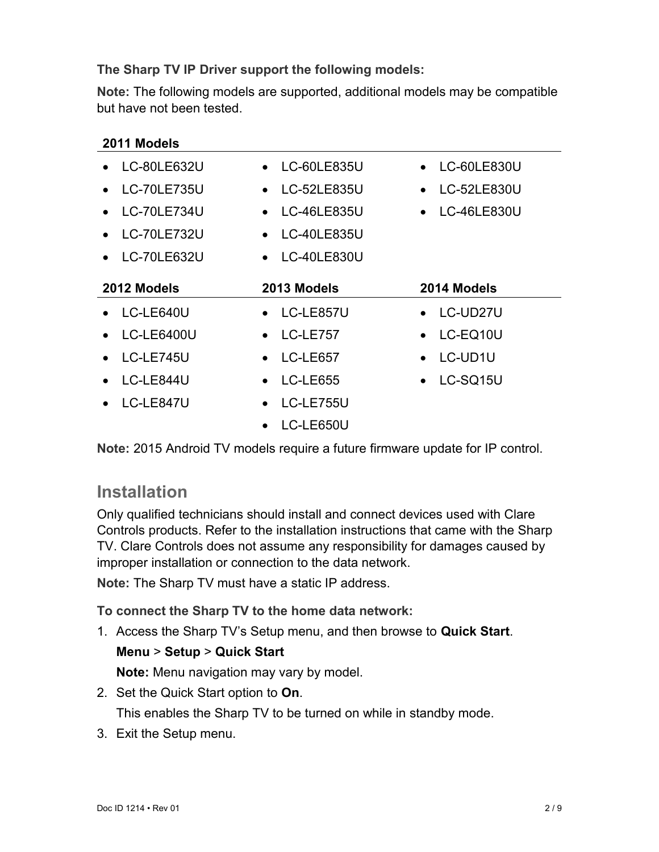**The Sharp TV IP Driver support the following models:** 

**Note:** The following models are supported, additional models may be compatible but have not been tested.

| 2011 Models        |                          |                                 |  |  |  |
|--------------------|--------------------------|---------------------------------|--|--|--|
| LC-80LE632U        | LC-60LE835U<br>$\bullet$ | <b>LC-60LE830U</b><br>$\bullet$ |  |  |  |
| <b>LC-70LE735U</b> | • LC-52LE835U            | LC-52LE830U<br>$\bullet$        |  |  |  |
| <b>LC-70LE734U</b> | LC-46LE835U<br>$\bullet$ | LC-46LE830U<br>$\bullet$        |  |  |  |
| LC-70LE732U        | LC-40LE835U<br>$\bullet$ |                                 |  |  |  |
| LC-70LE632U        | • LC-40LE830U            |                                 |  |  |  |
|                    |                          |                                 |  |  |  |
| 2012 Models        | 2013 Models              | 2014 Models                     |  |  |  |
| LC-LE640U          | $\bullet$ LC-LE857U      | LC-UD27U                        |  |  |  |
| <b>LC-LE6400U</b>  | $\bullet$ LC-LE757       | LC-EQ10U<br>$\bullet$           |  |  |  |
| LC-LE745U          | $\bullet$ LC-LE657       | LC-UD1U<br>$\bullet$            |  |  |  |
| LC-LE844U          | $\bullet$ LC-LE655       | LC-SQ15U<br>$\bullet$           |  |  |  |
| LC-LE847U          | • LC-LE755U              |                                 |  |  |  |

**Note:** 2015 Android TV models require a future firmware update for IP control.

## **Installation**

Only qualified technicians should install and connect devices used with Clare Controls products. Refer to the installation instructions that came with the Sharp TV. Clare Controls does not assume any responsibility for damages caused by improper installation or connection to the data network.

**Note:** The Sharp TV must have a static IP address.

**To connect the Sharp TV to the home data network:** 

1. Access the Sharp TV's Setup menu, and then browse to **Quick Start**.

#### **Menu** > **Setup** > **Quick Start**

**Note:** Menu navigation may vary by model.

2. Set the Quick Start option to **On**.

This enables the Sharp TV to be turned on while in standby mode.

3. Exit the Setup menu.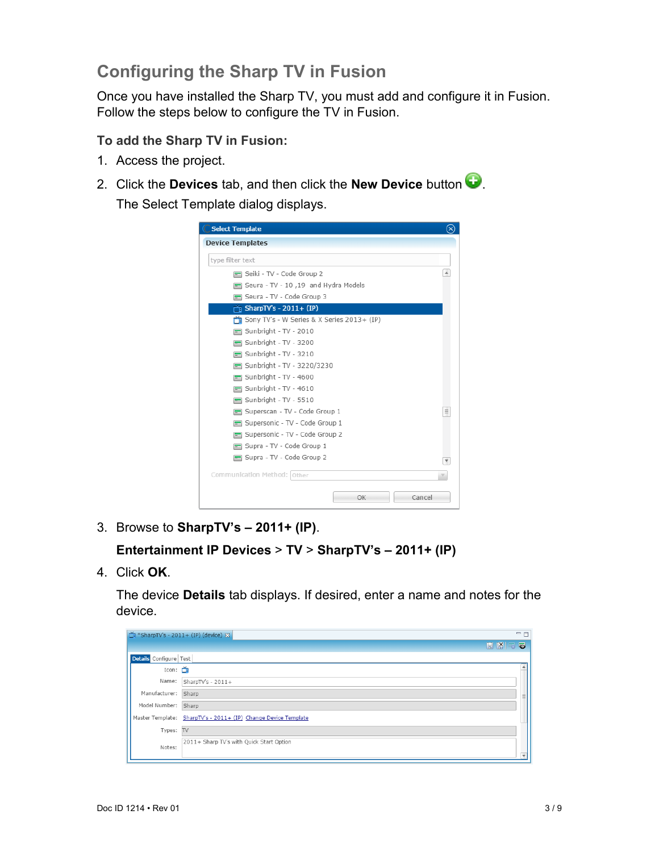# **Configuring the Sharp TV in Fusion**

Once you have installed the Sharp TV, you must add and configure it in Fusion. Follow the steps below to configure the TV in Fusion.

#### **To add the Sharp TV in Fusion:**

- 1. Access the project.
- 2. Click the **Devices** tab, and then click the **New Device** button  $\bullet$ .

The Select Template dialog displays.

| <b>Select Template</b>                           |
|--------------------------------------------------|
| <b>Device Templates</b>                          |
| type filter text                                 |
| Seiki - TV - Code Group 2                        |
| Seura - TV - 10, 19 and Hydra Models<br><b></b>  |
| Seura - TV - Code Group 3<br>$\Box$              |
| SharpTV's - $2011+$ (IP)<br>۳                    |
| Sony TV's - W Series & X Series 2013+ (IP)       |
| Sunbright - TV - 2010<br>$\blacksquare$          |
| Sunbright - TV - 3200                            |
| Sunbright - TV - 3210                            |
| Sunbright - TV - 3220/3230                       |
| Sunbright - TV - 4600                            |
| Sunbright - TV - 4610                            |
| Sunbright - TV - 5510<br>$\blacksquare$          |
| Superscan - TV - Code Group 1                    |
| Supersonic - TV - Code Group 1<br>$\blacksquare$ |
| Supersonic - TV - Code Group 2                   |
| Supra - TV - Code Group 1<br>$\overline{}$       |
| Supra - TV - Code Group 2                        |
| Communication Method: Other                      |
| OK<br>Cancel                                     |

3. Browse to **SharpTV's – 2011+ (IP)**.

```
Entertainment IP Devices > TV > SharpTV's – 2011+ (IP)
```
4. Click **OK**.

The device **Details** tab displays. If desired, enter a name and notes for the device.

|                        | $=$ $\Box$<br>SharpTV's - 2011+ (IP) (device) &                |  |
|------------------------|----------------------------------------------------------------|--|
|                        | <b>HKES</b>                                                    |  |
| Details Configure Test |                                                                |  |
| Icon: $\Box$           |                                                                |  |
| Name:                  | SharpTV's - $2011+$                                            |  |
| Manufacturer: Sharp    |                                                                |  |
| Model Number: Sharp    |                                                                |  |
|                        | Master Template: SharpTV's - 2011+ (IP) Change Device Template |  |
| Types: TV              |                                                                |  |
| Notes:                 | 2011+ Sharp TV's with Quick Start Option                       |  |
|                        |                                                                |  |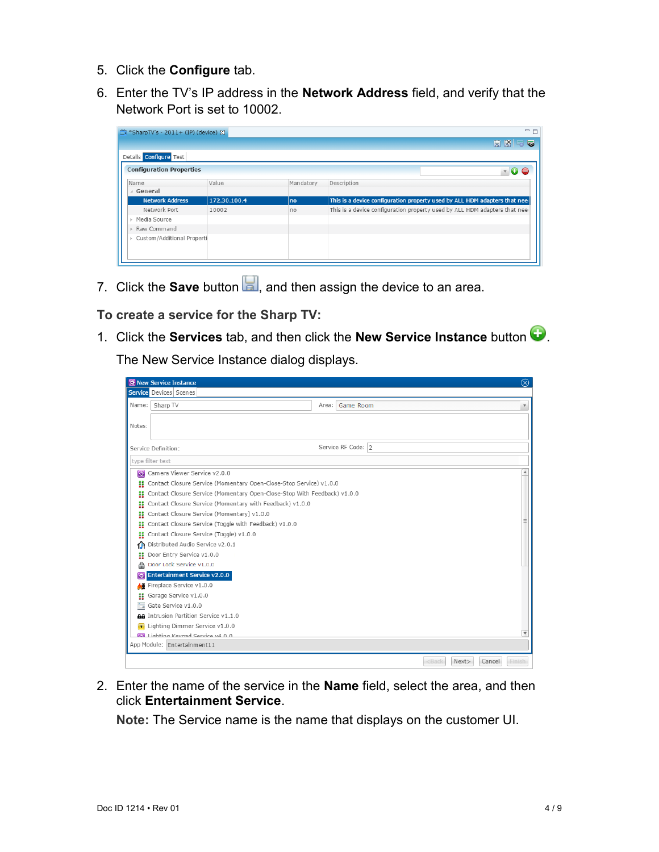- 5. Click the **Configure** tab.
- 6. Enter the TV's IP address in the **Network Address** field, and verify that the Network Port is set to 10002.

| *SharpTV's - 2011+ (IP) (device) & |              |           | $=$ $F$                                                                    |
|------------------------------------|--------------|-----------|----------------------------------------------------------------------------|
|                                    |              |           | $H$ $N$<br>55                                                              |
| Details Configure Test             |              |           |                                                                            |
| <b>Configuration Properties</b>    |              |           | $\bullet$                                                                  |
| Name                               | Value        | Mandatory | Description                                                                |
| ⊿ General                          |              |           |                                                                            |
| <b>Network Address</b>             | 172.30.100.4 | no        | This is a device configuration property used by ALL HDM adapters that need |
| Network Port                       | 10002        | no        | This is a device configuration property used by ALL HDM adapters that neer |
| ▶ Media Source                     |              |           |                                                                            |
| ▶ Raw Command                      |              |           |                                                                            |
| ▶ Custom/Additional Properti       |              |           |                                                                            |
|                                    |              |           |                                                                            |
|                                    |              |           |                                                                            |

7. Click the **Save** button **R**, and then assign the device to an area.

**To create a service for the Sharp TV:** 

1. Click the **Services** tab, and then click the **New Service Instance** button .

The New Service Instance dialog displays.

|        | <b>登 New Service Instance</b>                                            |       |                    |                             | $\circledR$             |
|--------|--------------------------------------------------------------------------|-------|--------------------|-----------------------------|-------------------------|
|        | Service Devices Scenes                                                   |       |                    |                             |                         |
| Name:  | Sharp TV                                                                 | Area: | Game Room          |                             | $\overline{\mathbf v}$  |
|        |                                                                          |       |                    |                             |                         |
| Notes: |                                                                          |       |                    |                             |                         |
|        |                                                                          |       |                    |                             |                         |
|        | Service Definition:                                                      |       | Service RF Code: 2 |                             |                         |
|        | type filter text                                                         |       |                    |                             |                         |
| 靍      | Camera Viewer Service v2.0.0                                             |       |                    |                             | ۸                       |
| ×      | Contact Closure Service (Momentary Open-Close-Stop Service) v1.0.0       |       |                    |                             |                         |
| H      | Contact Closure Service (Momentary Open-Close-Stop With Feedback) v1.0.0 |       |                    |                             |                         |
| Ħ      | Contact Closure Service (Momentary with Feedback) v1.0.0                 |       |                    |                             |                         |
| H      | Contact Closure Service (Momentary) v1.0.0                               |       |                    |                             |                         |
| H      | Contact Closure Service (Toggle with Feedback) v1.0.0                    |       |                    |                             |                         |
| Ħ      | Contact Closure Service (Toggle) v1.0.0                                  |       |                    |                             |                         |
| M      | Distributed Audio Service v2.0.1                                         |       |                    |                             |                         |
| H      | Door Entry Service v1.0.0                                                |       |                    |                             |                         |
| ⋒      | Door Lock Service v1.0.0                                                 |       |                    |                             |                         |
| 存      | <b>Entertainment Service v2.0.0</b>                                      |       |                    |                             |                         |
|        | 6 Fireplace Service v1.0.0                                               |       |                    |                             |                         |
| Ħ      | Garage Service v1.0.0                                                    |       |                    |                             |                         |
| T3     | Gate Service v1.0.0                                                      |       |                    |                             |                         |
|        | AA Intrusion Partition Service v1.1.0                                    |       |                    |                             |                         |
|        | Lighting Dimmer Service v1.0.0                                           |       |                    |                             | $\overline{\mathbf{v}}$ |
|        | <b>E3</b> Lighting Keynad Service v4.0.0                                 |       |                    |                             |                         |
|        | App Module: Entertainment11                                              |       |                    |                             |                         |
|        |                                                                          |       |                    | <back<br>Next&gt;</back<br> | Cancel<br>Finish        |

2. Enter the name of the service in the **Name** field, select the area, and then click **Entertainment Service**.

**Note:** The Service name is the name that displays on the customer UI.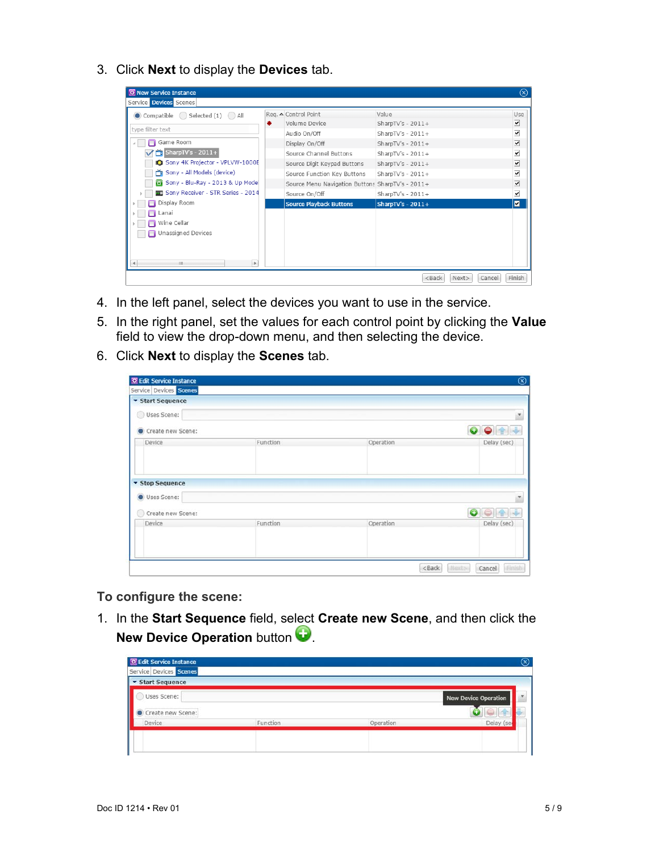3. Click **Next** to display the **Devices** tab.

| <b>RE New Service Instance</b>                    |   |                                                  |                             | $\circledcirc$          |
|---------------------------------------------------|---|--------------------------------------------------|-----------------------------|-------------------------|
| Service Devices Scenes                            |   |                                                  |                             |                         |
| Compatible $\bigcirc$ Selected (1) $\bigcirc$ All |   | Req. △ Control Point                             | Value                       | Use                     |
|                                                   | 嚢 | Volume Device                                    | SharpTV's - $2011+$         | ⊻                       |
| type filter text                                  |   | Audio On/Off                                     | SharpTV's - $2011+$         | ⊻                       |
| Game Room                                         |   | Display On/Off                                   | SharpTV's - $2011+$         | ⊻                       |
| $\sum$ SharpTV's - 2011+                          |   | Source Channel Buttons                           | SharpTV's - $2011+$         | ⊻                       |
| Sony 4K Projector - VPLVW-1000E                   |   | Source Digit Keypad Buttons                      | SharpTV's - $2011+$         | $\overline{\mathbf{v}}$ |
| Sony - All Models (device)                        |   | Source Function Key Buttons                      | SharpTV's - $2011+$         | ⊻                       |
| Sony - Blu-Ray - 2013 & Up Mode                   |   | Source Menu Navigation Buttons SharpTV's - 2011+ |                             | ✔                       |
| Sony Receiver - STR Series - 2014                 |   | Source On/Off                                    | SharpTV's - $2011+$         | $\blacktriangledown$    |
| Display Room                                      |   | <b>Source Playback Buttons</b>                   | SharpTV's - $2011+$         | ⊠                       |
| Lanai                                             |   |                                                  |                             |                         |
| Wine Cellar                                       |   |                                                  |                             |                         |
| Unassigned Devices                                |   |                                                  |                             |                         |
|                                                   |   |                                                  |                             |                         |
|                                                   |   |                                                  |                             |                         |
| HL.<br>$\rightarrow$                              |   |                                                  |                             |                         |
|                                                   |   |                                                  | <back<br>Next&gt;</back<br> | Finish<br>Cancel        |

- 4. In the left panel, select the devices you want to use in the service.
- 5. In the right panel, set the values for each control point by clicking the **Value** field to view the drop-down menu, and then selecting the device.
- 6. Click **Next** to display the **Scenes** tab.

| Edit Service Instance   |          |           | $^{\circledR}$      |
|-------------------------|----------|-----------|---------------------|
| Service Devices Scenes  |          |           |                     |
| <b>v</b> Start Sequence |          |           |                     |
| Uses Scene:             |          |           |                     |
| Create new Scene:       |          |           | $\bullet \bullet +$ |
| Device                  | Function | Operation | Delay (sec)         |
|                         |          |           |                     |
| <b>v</b> Stop Sequence  |          |           |                     |
| Uses Scene:             |          |           |                     |
| Create new Scene:       |          |           | €<br>舎              |
| Device                  | Function | Operation | Delay (sec)         |
|                         |          |           |                     |
|                         |          |           |                     |
|                         |          | $<$ Back  | Next ><br>Cancel    |

**To configure the scene:** 

1. In the **Start Sequence** field, select **Create new Scene**, and then click the **New Device Operation** button  $\bullet$ .

| Edit Service Instance  |          |           | ⊗                           |
|------------------------|----------|-----------|-----------------------------|
| Service Devices Scenes |          |           |                             |
| Start Sequence         |          |           |                             |
| Uses Scene:            |          |           | <b>New Device Operation</b> |
| Create new Scene:      |          |           |                             |
| Device                 | Function | Operation | Delay (se                   |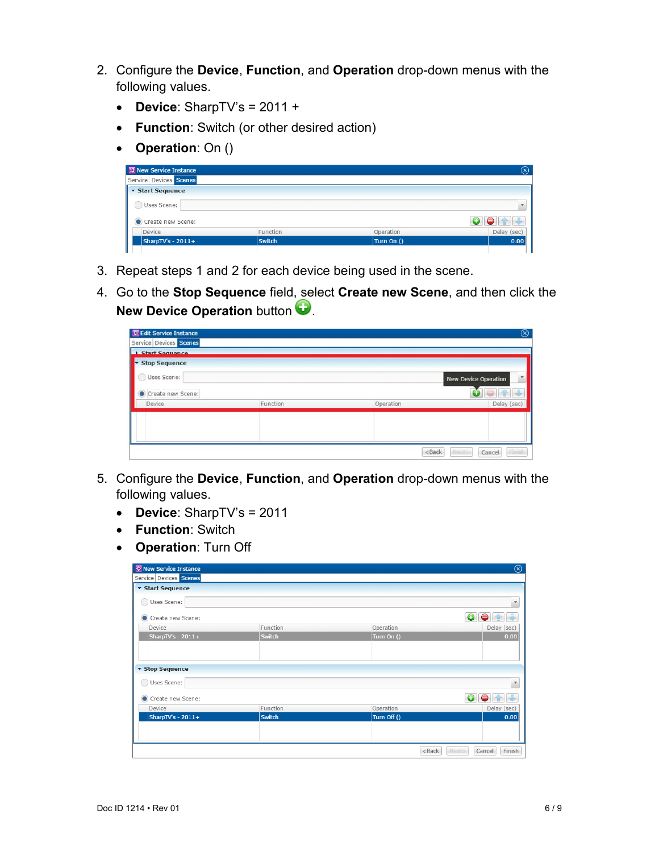- 2. Configure the **Device**, **Function**, and **Operation** drop-down menus with the following values.
	- **Device**: SharpTV's = 2011 +
	- **Function**: Switch (or other desired action)
	- **Operation**: On ()

| <b>RE</b> New Service Instance |          |            | $\scriptstyle\rm{(x)}$ |
|--------------------------------|----------|------------|------------------------|
| Service Devices Scenes         |          |            |                        |
| ▼ Start Sequence               |          |            |                        |
| Uses Scene:                    |          |            |                        |
| Create new Scene:              |          |            | œ                      |
| Device                         | Function | Operation  | Delay (sec)            |
| SharpTV's - $2011+$            | Switch   | Turn On () | 0.00                   |
|                                |          |            |                        |

- 3. Repeat steps 1 and 2 for each device being used in the scene.
- 4. Go to the **Stop Sequence** field, select **Create new Scene**, and then click the **New Device Operation** button

| <b>Start Sequence</b><br>Stop Sequence |          |           |                             |
|----------------------------------------|----------|-----------|-----------------------------|
| Uses Scene:                            |          |           | <b>New Device Operation</b> |
| Create new Scene:                      |          |           |                             |
| Device                                 | Function | Operation | Delay (sec)                 |
|                                        |          |           |                             |
|                                        |          |           |                             |

- 5. Configure the **Device**, **Function**, and **Operation** drop-down menus with the following values.
	- **Device**: SharpTV's = 2011
	- **Function**: Switch
	- **Operation**: Turn Off

| <b>RE</b> New Service Instance |          |             | $\circledR$               |
|--------------------------------|----------|-------------|---------------------------|
| Service Devices Scenes         |          |             |                           |
| ▼ Start Sequence               |          |             |                           |
| Uses Scene:<br>$( \ )$         |          |             | $\overline{\mathbf{v}}$   |
| Create new Scene:              |          |             | $\bullet$                 |
| Device                         | Function | Operation   | Delay (sec)               |
| SharpTV's - 2011+              | Switch   | Turn On ()  | 0.00                      |
|                                |          |             |                           |
| ▼ Stop Sequence                |          |             |                           |
| Uses Scene:                    |          |             | $\overline{\mathbf v}$    |
| Create new Scene:              |          |             | $\bullet$<br>¥            |
| Device                         | Function | Operation   | Delay (sec)               |
| SharpTV's - $2011+$            | Switch   | Turn Off () | 0.00                      |
|                                |          |             |                           |
|                                |          | $<$ Back    | Finish<br>Next><br>Cancel |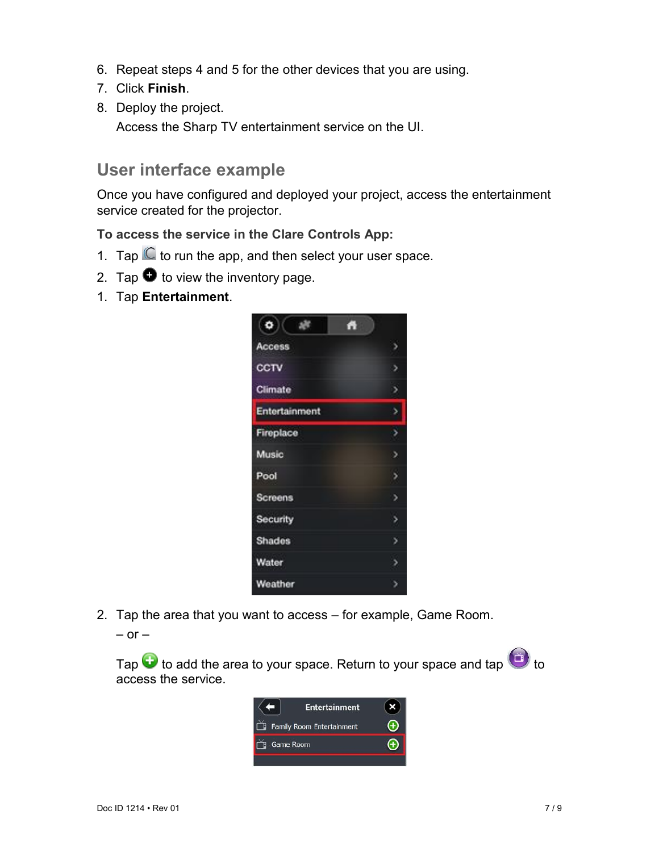- 6. Repeat steps 4 and 5 for the other devices that you are using.
- 7. Click **Finish**.
- 8. Deploy the project.

Access the Sharp TV entertainment service on the UI.

# **User interface example**

Once you have configured and deployed your project, access the entertainment service created for the projector.

**To access the service in the Clare Controls App:** 

- 1. Tap  $\mathbb C$  to run the app, and then select your user space.
- 2. Tap  $\bullet$  to view the inventory page.
- 1. Tap **Entertainment**.



2. Tap the area that you want to access – for example, Game Room.

 $-$  or  $-$ 

Tap  $\bigodot$  to add the area to your space. Return to your space and tap  $\bigodot$  to access the service.

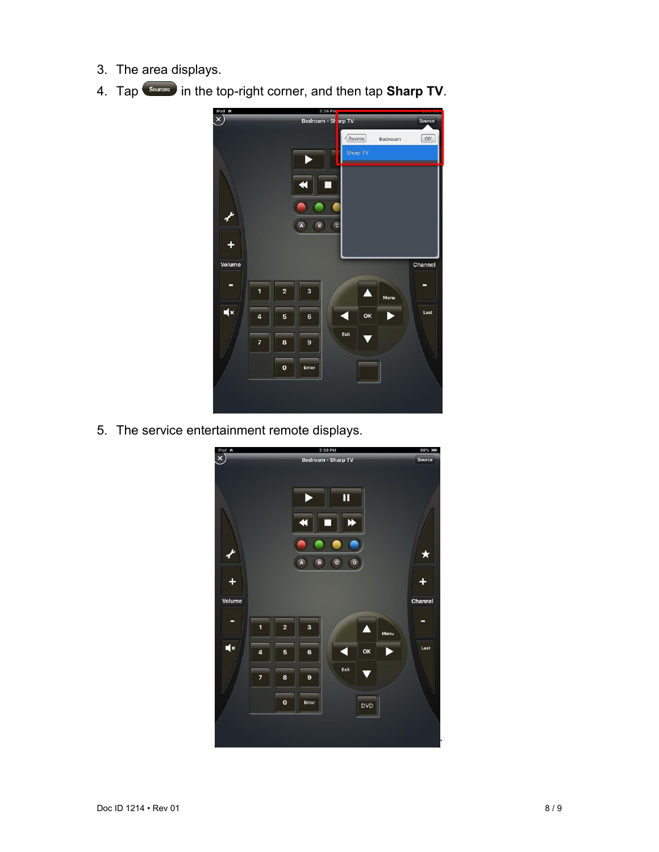- 3. The area displays.
- 4. Tap **Sources** in the top-right corner, and then tap **Sharp TV**.



5. The service entertainment remote displays.